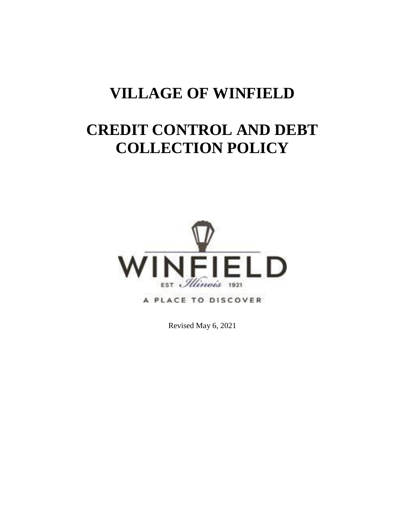## **VILLAGE OF WINFIELD**

# **CREDIT CONTROL AND DEBT COLLECTION POLICY**



A PLACE TO DISCOVER

Revised May 6, 2021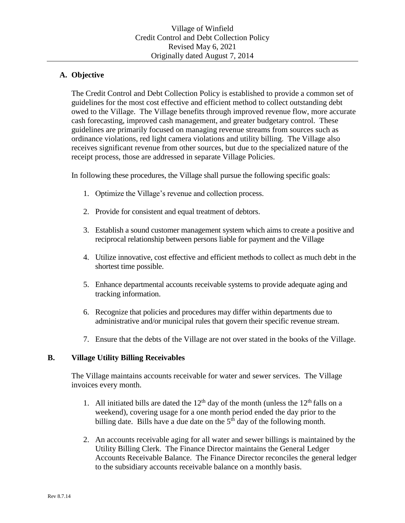## **A. Objective**

The Credit Control and Debt Collection Policy is established to provide a common set of guidelines for the most cost effective and efficient method to collect outstanding debt owed to the Village. The Village benefits through improved revenue flow, more accurate cash forecasting, improved cash management, and greater budgetary control. These guidelines are primarily focused on managing revenue streams from sources such as ordinance violations, red light camera violations and utility billing. The Village also receives significant revenue from other sources, but due to the specialized nature of the receipt process, those are addressed in separate Village Policies.

In following these procedures, the Village shall pursue the following specific goals:

- 1. Optimize the Village's revenue and collection process.
- 2. Provide for consistent and equal treatment of debtors.
- 3. Establish a sound customer management system which aims to create a positive and reciprocal relationship between persons liable for payment and the Village
- 4. Utilize innovative, cost effective and efficient methods to collect as much debt in the shortest time possible.
- 5. Enhance departmental accounts receivable systems to provide adequate aging and tracking information.
- 6. Recognize that policies and procedures may differ within departments due to administrative and/or municipal rules that govern their specific revenue stream.
- 7. Ensure that the debts of the Village are not over stated in the books of the Village.

## **B. Village Utility Billing Receivables**

The Village maintains accounts receivable for water and sewer services. The Village invoices every month.

- 1. All initiated bills are dated the  $12<sup>th</sup>$  day of the month (unless the  $12<sup>th</sup>$  falls on a weekend), covering usage for a one month period ended the day prior to the billing date. Bills have a due date on the  $5<sup>th</sup>$  day of the following month.
- 2. An accounts receivable aging for all water and sewer billings is maintained by the Utility Billing Clerk. The Finance Director maintains the General Ledger Accounts Receivable Balance. The Finance Director reconciles the general ledger to the subsidiary accounts receivable balance on a monthly basis.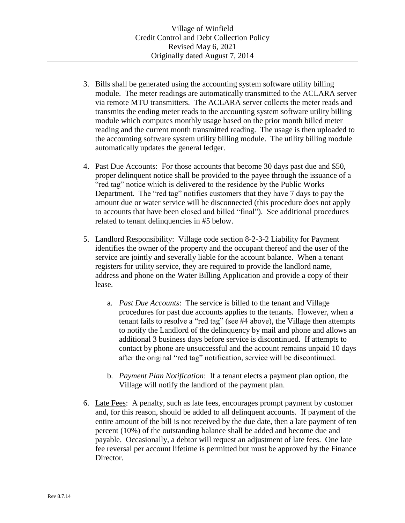- 3. Bills shall be generated using the accounting system software utility billing module. The meter readings are automatically transmitted to the ACLARA server via remote MTU transmitters. The ACLARA server collects the meter reads and transmits the ending meter reads to the accounting system software utility billing module which computes monthly usage based on the prior month billed meter reading and the current month transmitted reading. The usage is then uploaded to the accounting software system utility billing module. The utility billing module automatically updates the general ledger.
- 4. Past Due Accounts: For those accounts that become 30 days past due and \$50, proper delinquent notice shall be provided to the payee through the issuance of a "red tag" notice which is delivered to the residence by the Public Works Department. The "red tag" notifies customers that they have 7 days to pay the amount due or water service will be disconnected (this procedure does not apply to accounts that have been closed and billed "final"). See additional procedures related to tenant delinquencies in #5 below.
- 5. Landlord Responsibility: Village code section 8-2-3-2 Liability for Payment identifies the owner of the property and the occupant thereof and the user of the service are jointly and severally liable for the account balance. When a tenant registers for utility service, they are required to provide the landlord name, address and phone on the Water Billing Application and provide a copy of their lease.
	- a. *Past Due Accounts*: The service is billed to the tenant and Village procedures for past due accounts applies to the tenants. However, when a tenant fails to resolve a "red tag" (see #4 above), the Village then attempts to notify the Landlord of the delinquency by mail and phone and allows an additional 3 business days before service is discontinued. If attempts to contact by phone are unsuccessful and the account remains unpaid 10 days after the original "red tag" notification, service will be discontinued.
	- b. *Payment Plan Notification*: If a tenant elects a payment plan option, the Village will notify the landlord of the payment plan.
- 6. Late Fees: A penalty, such as late fees, encourages prompt payment by customer and, for this reason, should be added to all delinquent accounts.If payment of the entire amount of the bill is not received by the due date, then a late payment of ten percent (10%) of the outstanding balance shall be added and become due and payable. Occasionally, a debtor will request an adjustment of late fees. One late fee reversal per account lifetime is permitted but must be approved by the Finance Director.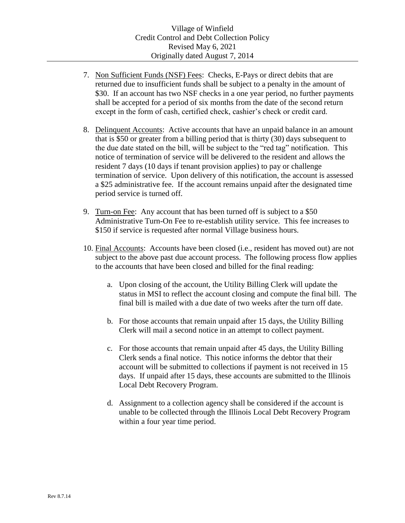- 7. Non Sufficient Funds (NSF) Fees: Checks, E-Pays or direct debits that are returned due to insufficient funds shall be subject to a penalty in the amount of \$30. If an account has two NSF checks in a one year period, no further payments shall be accepted for a period of six months from the date of the second return except in the form of cash, certified check, cashier's check or credit card.
- 8. Delinquent Accounts: Active accounts that have an unpaid balance in an amount that is \$50 or greater from a billing period that is thirty (30) days subsequent to the due date stated on the bill, will be subject to the "red tag" notification. This notice of termination of service will be delivered to the resident and allows the resident 7 days (10 days if tenant provision applies) to pay or challenge termination of service. Upon delivery of this notification, the account is assessed a \$25 administrative fee. If the account remains unpaid after the designated time period service is turned off.
- 9. Turn-on Fee: Any account that has been turned off is subject to a \$50 Administrative Turn-On Fee to re-establish utility service. This fee increases to \$150 if service is requested after normal Village business hours.
- 10. Final Accounts: Accounts have been closed (i.e., resident has moved out) are not subject to the above past due account process. The following process flow applies to the accounts that have been closed and billed for the final reading:
	- a. Upon closing of the account, the Utility Billing Clerk will update the status in MSI to reflect the account closing and compute the final bill. The final bill is mailed with a due date of two weeks after the turn off date.
	- b. For those accounts that remain unpaid after 15 days, the Utility Billing Clerk will mail a second notice in an attempt to collect payment.
	- c. For those accounts that remain unpaid after 45 days, the Utility Billing Clerk sends a final notice. This notice informs the debtor that their account will be submitted to collections if payment is not received in 15 days. If unpaid after 15 days, these accounts are submitted to the Illinois Local Debt Recovery Program.
	- d. Assignment to a collection agency shall be considered if the account is unable to be collected through the Illinois Local Debt Recovery Program within a four year time period.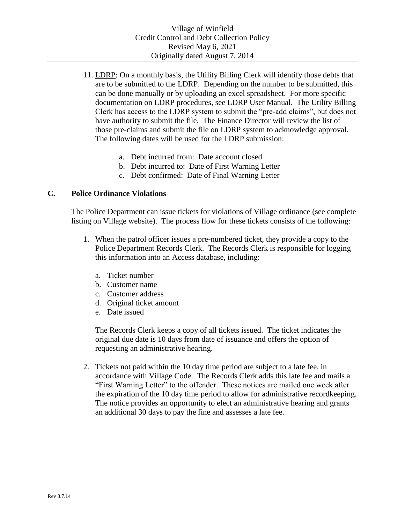- 11. LDRP: On a monthly basis, the Utility Billing Clerk will identify those debts that are to be submitted to the LDRP. Depending on the number to be submitted, this can be done manually or by uploading an excel spreadsheet. For more specific documentation on LDRP procedures, see LDRP User Manual. The Utility Billing Clerk has access to the LDRP system to submit the "pre-add claims", but does not have authority to submit the file. The Finance Director will review the list of those pre-claims and submit the file on LDRP system to acknowledge approval. The following dates will be used for the LDRP submission:
	- a. Debt incurred from: Date account closed
	- b. Debt incurred to: Date of First Warning Letter
	- c. Debt confirmed: Date of Final Warning Letter

### **C. Police Ordinance Violations**

The Police Department can issue tickets for violations of Village ordinance (see complete listing on Village website). The process flow for these tickets consists of the following:

- 1. When the patrol officer issues a pre-numbered ticket, they provide a copy to the Police Department Records Clerk. The Records Clerk is responsible for logging this information into an Access database, including:
	- a. Ticket number
	- b. Customer name
	- c. Customer address
	- d. Original ticket amount
	- e. Date issued

The Records Clerk keeps a copy of all tickets issued. The ticket indicates the original due date is 10 days from date of issuance and offers the option of requesting an administrative hearing.

2. Tickets not paid within the 10 day time period are subject to a late fee, in accordance with Village Code. The Records Clerk adds this late fee and mails a "First Warning Letter" to the offender. These notices are mailed one week after the expiration of the 10 day time period to allow for administrative recordkeeping. The notice provides an opportunity to elect an administrative hearing and grants an additional 30 days to pay the fine and assesses a late fee.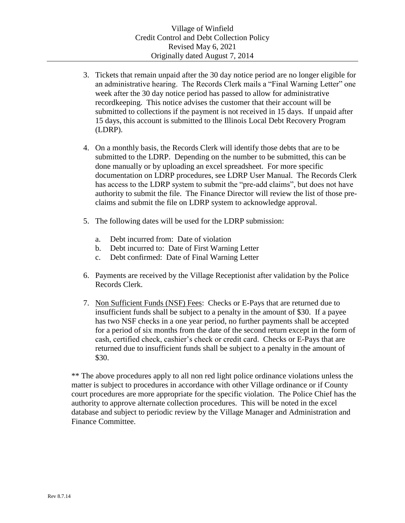- 3. Tickets that remain unpaid after the 30 day notice period are no longer eligible for an administrative hearing. The Records Clerk mails a "Final Warning Letter" one week after the 30 day notice period has passed to allow for administrative recordkeeping. This notice advises the customer that their account will be submitted to collections if the payment is not received in 15 days. If unpaid after 15 days, this account is submitted to the Illinois Local Debt Recovery Program (LDRP).
- 4. On a monthly basis, the Records Clerk will identify those debts that are to be submitted to the LDRP. Depending on the number to be submitted, this can be done manually or by uploading an excel spreadsheet. For more specific documentation on LDRP procedures, see LDRP User Manual. The Records Clerk has access to the LDRP system to submit the "pre-add claims", but does not have authority to submit the file. The Finance Director will review the list of those preclaims and submit the file on LDRP system to acknowledge approval.
- 5. The following dates will be used for the LDRP submission:
	- a. Debt incurred from: Date of violation
	- b. Debt incurred to: Date of First Warning Letter
	- c. Debt confirmed: Date of Final Warning Letter
- 6. Payments are received by the Village Receptionist after validation by the Police Records Clerk.
- 7. Non Sufficient Funds (NSF) Fees: Checks or E-Pays that are returned due to insufficient funds shall be subject to a penalty in the amount of \$30. If a payee has two NSF checks in a one year period, no further payments shall be accepted for a period of six months from the date of the second return except in the form of cash, certified check, cashier's check or credit card. Checks or E-Pays that are returned due to insufficient funds shall be subject to a penalty in the amount of \$30.

\*\* The above procedures apply to all non red light police ordinance violations unless the matter is subject to procedures in accordance with other Village ordinance or if County court procedures are more appropriate for the specific violation. The Police Chief has the authority to approve alternate collection procedures. This will be noted in the excel database and subject to periodic review by the Village Manager and Administration and Finance Committee.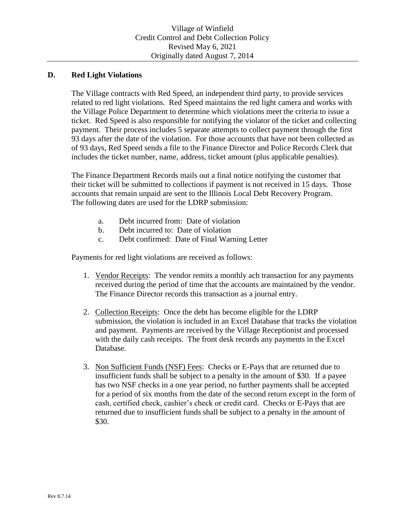## **D. Red Light Violations**

The Village contracts with Red Speed, an independent third party, to provide services related to red light violations. Red Speed maintains the red light camera and works with the Village Police Department to determine which violations meet the criteria to issue a ticket. Red Speed is also responsible for notifying the violator of the ticket and collecting payment. Their process includes 5 separate attempts to collect payment through the first 93 days after the date of the violation. For those accounts that have not been collected as of 93 days, Red Speed sends a file to the Finance Director and Police Records Clerk that includes the ticket number, name, address, ticket amount (plus applicable penalties).

The Finance Department Records mails out a final notice notifying the customer that their ticket will be submitted to collections if payment is not received in 15 days. Those accounts that remain unpaid are sent to the Illinois Local Debt Recovery Program. The following dates are used for the LDRP submission:

- a. Debt incurred from: Date of violation
- b. Debt incurred to: Date of violation
- c. Debt confirmed: Date of Final Warning Letter

Payments for red light violations are received as follows:

- 1. Vendor Receipts: The vendor remits a monthly ach transaction for any payments received during the period of time that the accounts are maintained by the vendor. The Finance Director records this transaction as a journal entry.
- 2. Collection Receipts: Once the debt has become eligible for the LDRP submission, the violation is included in an Excel Database that tracks the violation and payment. Payments are received by the Village Receptionist and processed with the daily cash receipts. The front desk records any payments in the Excel Database.
- 3. Non Sufficient Funds (NSF) Fees: Checks or E-Pays that are returned due to insufficient funds shall be subject to a penalty in the amount of \$30. If a payee has two NSF checks in a one year period, no further payments shall be accepted for a period of six months from the date of the second return except in the form of cash, certified check, cashier's check or credit card. Checks or E-Pays that are returned due to insufficient funds shall be subject to a penalty in the amount of \$30.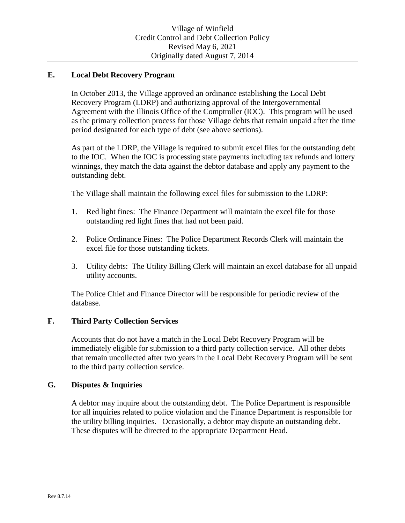## **E. Local Debt Recovery Program**

In October 2013, the Village approved an ordinance establishing the Local Debt Recovery Program (LDRP) and authorizing approval of the Intergovernmental Agreement with the Illinois Office of the Comptroller (IOC). This program will be used as the primary collection process for those Village debts that remain unpaid after the time period designated for each type of debt (see above sections).

As part of the LDRP, the Village is required to submit excel files for the outstanding debt to the IOC. When the IOC is processing state payments including tax refunds and lottery winnings, they match the data against the debtor database and apply any payment to the outstanding debt.

The Village shall maintain the following excel files for submission to the LDRP:

- 1. Red light fines: The Finance Department will maintain the excel file for those outstanding red light fines that had not been paid.
- 2. Police Ordinance Fines: The Police Department Records Clerk will maintain the excel file for those outstanding tickets.
- 3. Utility debts: The Utility Billing Clerk will maintain an excel database for all unpaid utility accounts.

The Police Chief and Finance Director will be responsible for periodic review of the database.

## **F. Third Party Collection Services**

Accounts that do not have a match in the Local Debt Recovery Program will be immediately eligible for submission to a third party collection service. All other debts that remain uncollected after two years in the Local Debt Recovery Program will be sent to the third party collection service.

## **G. Disputes & Inquiries**

A debtor may inquire about the outstanding debt. The Police Department is responsible for all inquiries related to police violation and the Finance Department is responsible for the utility billing inquiries. Occasionally, a debtor may dispute an outstanding debt. These disputes will be directed to the appropriate Department Head.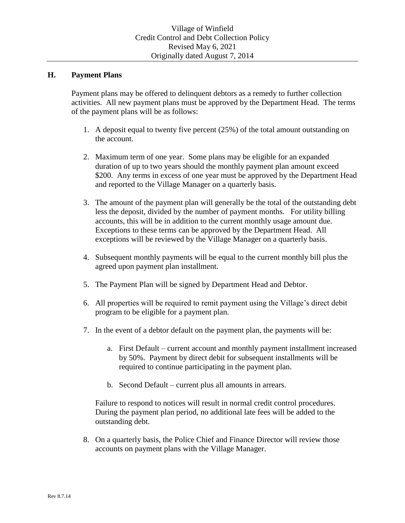#### **H. Payment Plans**

Payment plans may be offered to delinquent debtors as a remedy to further collection activities. All new payment plans must be approved by the Department Head. The terms of the payment plans will be as follows:

- 1. A deposit equal to twenty five percent (25%) of the total amount outstanding on the account.
- 2. Maximum term of one year. Some plans may be eligible for an expanded duration of up to two years should the monthly payment plan amount exceed \$200. Any terms in excess of one year must be approved by the Department Head and reported to the Village Manager on a quarterly basis.
- 3. The amount of the payment plan will generally be the total of the outstanding debt less the deposit, divided by the number of payment months. For utility billing accounts, this will be in addition to the current monthly usage amount due. Exceptions to these terms can be approved by the Department Head. All exceptions will be reviewed by the Village Manager on a quarterly basis.
- 4. Subsequent monthly payments will be equal to the current monthly bill plus the agreed upon payment plan installment.
- 5. The Payment Plan will be signed by Department Head and Debtor.
- 6. All properties will be required to remit payment using the Village's direct debit program to be eligible for a payment plan.
- 7. In the event of a debtor default on the payment plan, the payments will be:
	- a. First Default current account and monthly payment installment increased by 50%. Payment by direct debit for subsequent installments will be required to continue participating in the payment plan.
	- b. Second Default current plus all amounts in arrears.

Failure to respond to notices will result in normal credit control procedures. During the payment plan period, no additional late fees will be added to the outstanding debt.

8. On a quarterly basis, the Police Chief and Finance Director will review those accounts on payment plans with the Village Manager.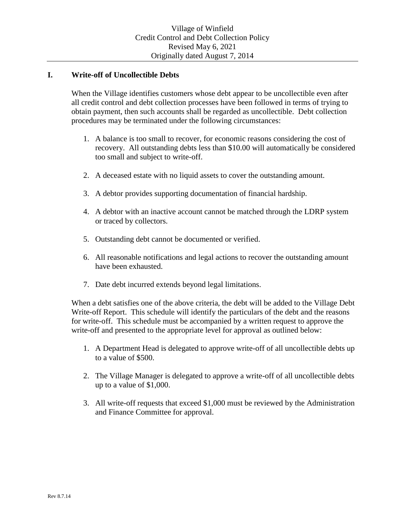## **I. Write-off of Uncollectible Debts**

When the Village identifies customers whose debt appear to be uncollectible even after all credit control and debt collection processes have been followed in terms of trying to obtain payment, then such accounts shall be regarded as uncollectible. Debt collection procedures may be terminated under the following circumstances:

- 1. A balance is too small to recover, for economic reasons considering the cost of recovery. All outstanding debts less than \$10.00 will automatically be considered too small and subject to write-off.
- 2. A deceased estate with no liquid assets to cover the outstanding amount.
- 3. A debtor provides supporting documentation of financial hardship.
- 4. A debtor with an inactive account cannot be matched through the LDRP system or traced by collectors.
- 5. Outstanding debt cannot be documented or verified.
- 6. All reasonable notifications and legal actions to recover the outstanding amount have been exhausted.
- 7. Date debt incurred extends beyond legal limitations.

When a debt satisfies one of the above criteria, the debt will be added to the Village Debt Write-off Report. This schedule will identify the particulars of the debt and the reasons for write-off. This schedule must be accompanied by a written request to approve the write-off and presented to the appropriate level for approval as outlined below:

- 1. A Department Head is delegated to approve write-off of all uncollectible debts up to a value of \$500.
- 2. The Village Manager is delegated to approve a write-off of all uncollectible debts up to a value of \$1,000.
- 3. All write-off requests that exceed \$1,000 must be reviewed by the Administration and Finance Committee for approval.